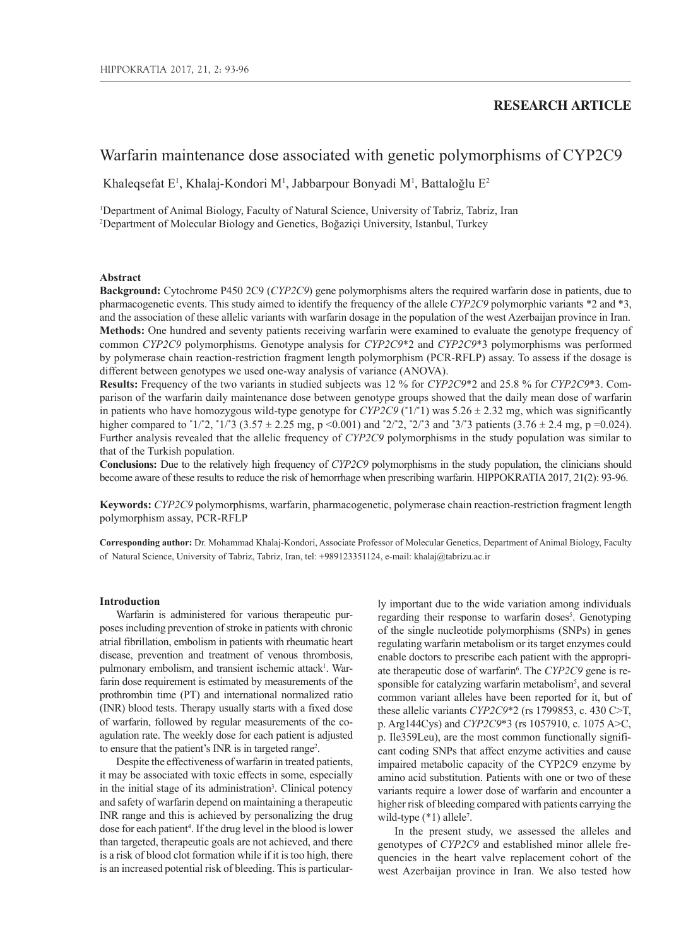## **RESEARCH ARTICLE**

# Warfarin maintenance dose associated with genetic polymorphisms of CYP2C9

Khaleqsefat E<sup>1</sup>, Khalaj-Kondori M<sup>1</sup>, Jabbarpour Bonyadi M<sup>1</sup>, Battaloğlu E<sup>2</sup>

1 Department of Animal Biology, Faculty of Natural Science, University of Tabriz, Tabriz, Iran 2 Department of Molecular Biology and Genetics, Boğaziçi University, Istanbul, Turkey

## **Abstract**

**Background:** Cytochrome P450 2C9 (*CYP2C9*) gene polymorphisms alters the required warfarin dose in patients, due to pharmacogenetic events. This study aimed to identify the frequency of the allele *CYP2C9* polymorphic variants \*2 and \*3, and the association of these allelic variants with warfarin dosage in the population of the west Azerbaijan province in Iran. **Methods:** One hundred and seventy patients receiving warfarin were examined to evaluate the genotype frequency of common *CYP2C9* polymorphisms. Genotype analysis for *CYP2C9*\*2 and *CYP2C9*\*3 polymorphisms was performed by polymerase chain reaction-restriction fragment length polymorphism (PCR-RFLP) assay. To assess if the dosage is different between genotypes we used one-way analysis of variance (ANOVA).

**Results:** Frequency of the two variants in studied subjects was 12 % for *CYP2C9*\*2 and 25.8 % for *CYP2C9*\*3. Comparison of the warfarin daily maintenance dose between genotype groups showed that the daily mean dose of warfarin in patients who have homozygous wild-type genotype for *CYP2C9*  $({}^{*}1/{}^{*}1)$  was 5.26  $\pm$  2.32 mg, which was significantly higher compared to  $1/2$ ,  $1/3$  (3.57  $\pm$  2.25 mg, p <0.001) and  $2/2$ ,  $2/3$  and  $3/3$  patients (3.76  $\pm$  2.4 mg, p =0.024). Further analysis revealed that the allelic frequency of *CYP2C9* polymorphisms in the study population was similar to that of the Turkish population.

**Conclusions:** Due to the relatively high frequency of *CYP2C9* polymorphisms in the study population, the clinicians should become aware of these results to reduce the risk of hemorrhage when prescribing warfarin. HIPPOKRATIA 2017, 21(2): 93-96.

**Keywords:** *CYP2C9* polymorphisms, warfarin, pharmacogenetic, polymerase chain reaction-restriction fragment length polymorphism assay, PCR-RFLP

**Corresponding author:** Dr. Mohammad Khalaj-Kondori, Associate Professor of Molecular Genetics, Department of Animal Biology, Faculty of Natural Science, University of Tabriz, Tabriz, Iran, tel: +989123351124, e-mail: khalaj@tabrizu.ac.ir

#### **Introduction**

Warfarin is administered for various therapeutic purposes including prevention of stroke in patients with chronic atrial fibrillation, embolism in patients with rheumatic heart disease, prevention and treatment of venous thrombosis, pulmonary embolism, and transient ischemic attack<sup>1</sup>. Warfarin dose requirement is estimated by measurements of the prothrombin time (PT) and international normalized ratio (INR) blood tests. Therapy usually starts with a fixed dose of warfarin, followed by regular measurements of the coagulation rate. The weekly dose for each patient is adjusted to ensure that the patient's INR is in targeted range<sup>2</sup>.

Despite the effectiveness of warfarin in treated patients, it may be associated with toxic effects in some, especially in the initial stage of its administration<sup>3</sup>. Clinical potency and safety of warfarin depend on maintaining a therapeutic INR range and this is achieved by personalizing the drug dose for each patient<sup>4</sup>. If the drug level in the blood is lower than targeted, therapeutic goals are not achieved, and there is a risk of blood clot formation while if it is too high, there is an increased potential risk of bleeding. This is particularly important due to the wide variation among individuals regarding their response to warfarin doses<sup>5</sup>. Genotyping of the single nucleotide polymorphisms (SNPs) in genes regulating warfarin metabolism or its target enzymes could enable doctors to prescribe each patient with the appropriate therapeutic dose of warfarin<sup>6</sup>. The *CYP2C9* gene is responsible for catalyzing warfarin metabolism<sup>5</sup>, and several common variant alleles have been reported for it, but of these allelic variants *CYP2C9*\*2 (rs 1799853, c. 430 C>T, p. Arg144Cys) and *CYP2C9*\*3 (rs 1057910, c. 1075 A>C, p. Ile359Leu), are the most common functionally significant coding SNPs that affect enzyme activities and cause impaired metabolic capacity of the CYP2C9 enzyme by amino acid substitution. Patients with one or two of these variants require a lower dose of warfarin and encounter a higher risk of bleeding compared with patients carrying the wild-type (\*1) allele<sup>7</sup>.

In the present study, we assessed the alleles and genotypes of *CYP2C9* and established minor allele frequencies in the heart valve replacement cohort of the west Azerbaijan province in Iran. We also tested how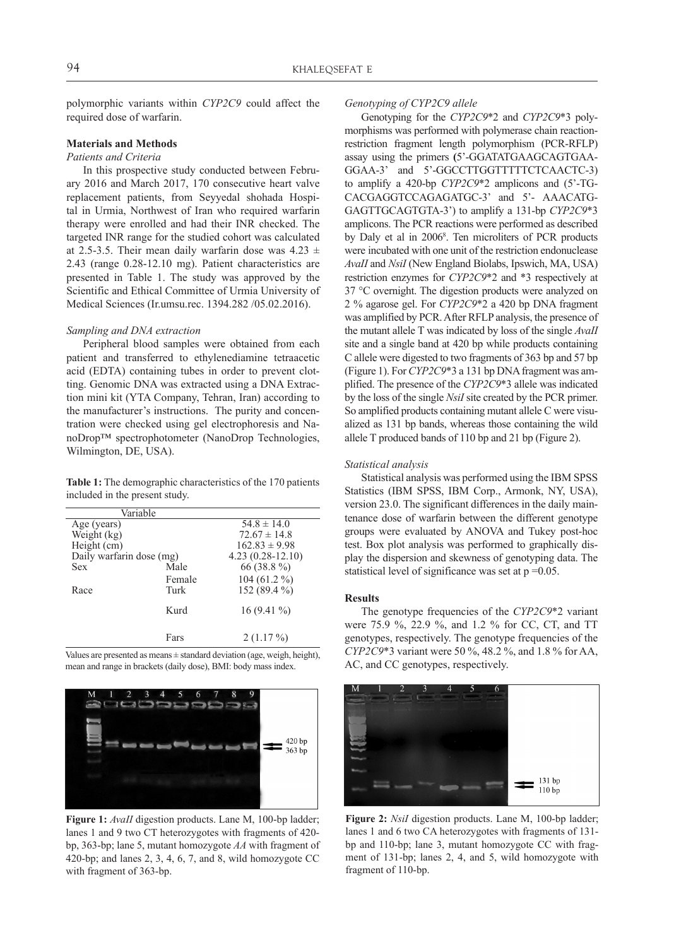polymorphic variants within *CYP2C9* could affect the required dose of warfarin.

## **Materials and Methods**

#### *Patients and Criteria*

In this prospective study conducted between February 2016 and March 2017, 170 consecutive heart valve replacement patients, from Seyyedal shohada Hospital in Urmia, Northwest of Iran who required warfarin therapy were enrolled and had their INR checked. The targeted INR range for the studied cohort was calculated at 2.5-3.5. Their mean daily warfarin dose was  $4.23 \pm$ 2.43 (range 0.28-12.10 mg). Patient characteristics are presented in Table 1. The study was approved by the Scientific and Ethical Committee of Urmia University of Medical Sciences (Ir.umsu.rec. 1394.282 /05.02.2016).

## *Sampling and DNA extraction*

Peripheral blood samples were obtained from each patient and transferred to ethylenediamine tetraacetic acid (EDTA) containing tubes in order to prevent clotting. Genomic DNA was extracted using a DNA Extraction mini kit (YTA Company, Tehran, Iran) according to the manufacturer's instructions. The purity and concentration were checked using gel electrophoresis and NanoDrop™ spectrophotometer (NanoDrop Technologies, Wilmington, DE, USA).

**Table 1:** The demographic characteristics of the 170 patients included in the present study.

| Variable                 |        |                    |  |  |
|--------------------------|--------|--------------------|--|--|
| Age (years)              |        | $54.8 \pm 14.0$    |  |  |
| Weight (kg)              |        | $72.67 \pm 14.8$   |  |  |
| Height (cm)              |        | $162.83 \pm 9.98$  |  |  |
| Daily warfarin dose (mg) |        | $4.23(0.28-12.10)$ |  |  |
| <b>Sex</b>               | Male   | 66 (38.8%)         |  |  |
|                          | Female | $104(61.2\%)$      |  |  |
| Race                     | Turk   | 152 (89.4 %)       |  |  |
|                          | Kurd   | $16(9.41\%)$       |  |  |
|                          | Fars   | $2(1.17\%)$        |  |  |

Values are presented as means ± standard deviation (age, weigh, height), mean and range in brackets (daily dose), BMI: body mass index.



**Figure 1:** *AvaII* digestion products. Lane M, 100-bp ladder; lanes 1 and 9 two CT heterozygotes with fragments of 420 bp, 363-bp; lane 5, mutant homozygote *AA* with fragment of 420-bp; and lanes 2, 3, 4, 6, 7, and 8, wild homozygote CC with fragment of 363-bp.

#### *Genotyping of CYP2C9 allele*

Genotyping for the *CYP2C9*\*2 and *CYP2C9*\*3 polymorphisms was performed with polymerase chain reactionrestriction fragment length polymorphism (PCR-RFLP) assay using the primers **(**5'-GGATATGAAGCAGTGAA-GGAA-3' and 5'-GGCCTTGGTTTTTCTCAACTC-3) to amplify a 420-bp *CYP2C9*\*2 amplicons and (5'-TG-CACGAGGTCCAGAGATGC-3' and 5'- AAACATG-GAGTTGCAGTGTA-3') to amplify a 131-bp *CYP2C9*\*3 amplicons. The PCR reactions were performed as described by Daly et al in 2006<sup>8</sup>. Ten microliters of PCR products were incubated with one unit of the restriction endonuclease *AvaII* and *NsiI* (New England Biolabs, Ipswich, MA, USA) restriction enzymes for *CYP2C9*\*2 and \*3 respectively at 37 °C overnight. The digestion products were analyzed on 2 % agarose gel. For *CYP2C9*\*2 a 420 bp DNA fragment was amplified by PCR. After RFLP analysis, the presence of the mutant allele T was indicated by loss of the single *AvaII* site and a single band at 420 bp while products containing C allele were digested to two fragments of 363 bp and 57 bp (Figure 1). For *CYP2C9*\*3 a 131 bp DNA fragment was amplified. The presence of the *CYP2C9*\*3 allele was indicated by the loss of the single *NsiI* site created by the PCR primer. So amplified products containing mutant allele C were visualized as 131 bp bands, whereas those containing the wild allele T produced bands of 110 bp and 21 bp (Figure 2).

#### *Statistical analysis*

Statistical analysis was performed using the IBM SPSS Statistics (IBM SPSS, IBM Corp., Armonk, NY, USA), version 23.0. The significant differences in the daily maintenance dose of warfarin between the different genotype groups were evaluated by ANOVA and Tukey post-hoc test. Box plot analysis was performed to graphically display the dispersion and skewness of genotyping data. The statistical level of significance was set at  $p = 0.05$ .

#### **Results**

The genotype frequencies of the *CYP2C9*\*2 variant were 75.9 %, 22.9 %, and 1.2 % for CC, CT, and TT genotypes, respectively. The genotype frequencies of the *CYP2C9*\*3 variant were 50 %, 48.2 %, and 1.8 % for AA, AC, and CC genotypes, respectively.



**Figure 2:** *NsiI* digestion products. Lane M, 100-bp ladder; lanes 1 and 6 two CA heterozygotes with fragments of 131 bp and 110-bp; lane 3, mutant homozygote CC with fragment of 131-bp; lanes 2, 4, and 5, wild homozygote with fragment of 110-bp.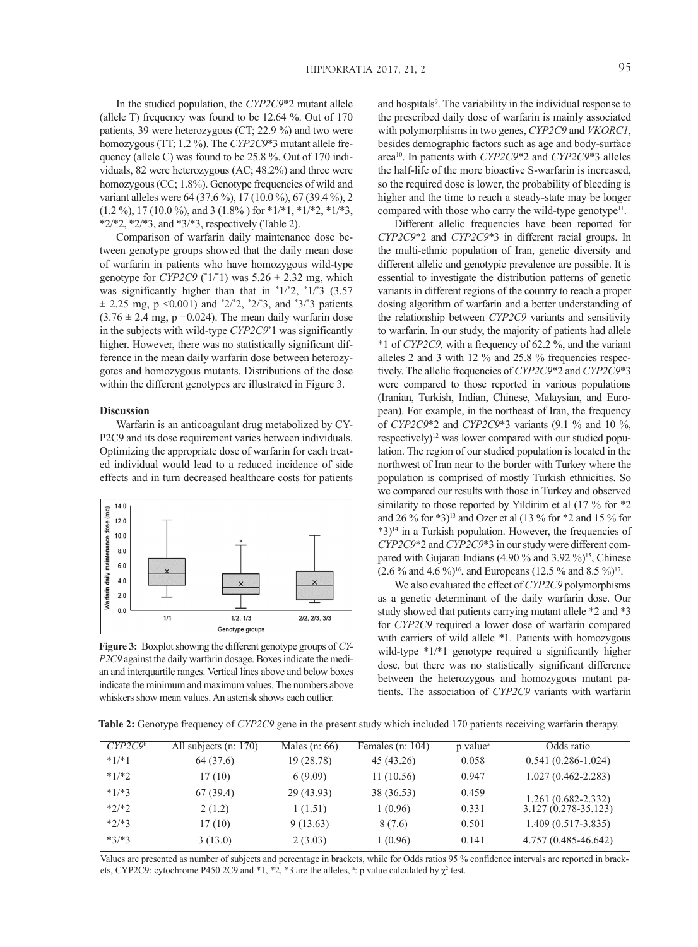In the studied population, the *CYP2C9*\*2 mutant allele (allele T) frequency was found to be 12.64 %. Out of 170 patients, 39 were heterozygous (CT; 22.9 %) and two were homozygous (TT; 1.2 %). The *CYP2C9*\*3 mutant allele frequency (allele C) was found to be 25.8 %. Out of 170 individuals, 82 were heterozygous (AC; 48.2%) and three were homozygous (CC; 1.8%). Genotype frequencies of wild and variant alleles were 64 (37.6 %), 17 (10.0 %), 67 (39.4 %), 2  $(1.2 \%)$ , 17 (10.0%), and 3 (1.8%) for  $*1/*1$ ,  $*1/*2$ ,  $*1/*3$ ,  $*2/*2$ ,  $*2/*3$ , and  $*3/*3$ , respectively (Table 2).

Comparison of warfarin daily maintenance dose between genotype groups showed that the daily mean dose of warfarin in patients who have homozygous wild-type genotype for *CYP2C9* ( $^*1/^*1$ ) was 5.26  $\pm$  2.32 mg, which was significantly higher than that in  $1/2$ ,  $1/3$  (3.57  $\pm$  2.25 mg, p < 0.001) and  $^{\ast}2/\ast2$ ,  $^{\ast}2/\ast3$ , and  $^{\ast}3/\ast3$  patients  $(3.76 \pm 2.4 \text{ mg}, \text{p} = 0.024)$ . The mean daily warfarin dose in the subjects with wild-type *CYP2C9*\* 1 was significantly higher. However, there was no statistically significant difference in the mean daily warfarin dose between heterozygotes and homozygous mutants. Distributions of the dose within the different genotypes are illustrated in Figure 3.

## **Discussion**

Warfarin is an anticoagulant drug metabolized by CY-P2C9 and its dose requirement varies between individuals. Optimizing the appropriate dose of warfarin for each treated individual would lead to a reduced incidence of side effects and in turn decreased healthcare costs for patients



**Figure 3:** Boxplot showing the different genotype groups of *CY-P2C9* against the daily warfarin dosage. Boxes indicate the median and interquartile ranges. Vertical lines above and below boxes indicate the minimum and maximum values. The numbers above whiskers show mean values. An asterisk shows each outlier.

and hospitals<sup>9</sup>. The variability in the individual response to the prescribed daily dose of warfarin is mainly associated with polymorphisms in two genes, *CYP2C9* and *VKORC1*, besides demographic factors such as age and body-surface area10. In patients with *CYP2C9*\*2 and *CYP2C9*\*3 alleles the half-life of the more bioactive S-warfarin is increased, so the required dose is lower, the probability of bleeding is higher and the time to reach a steady-state may be longer compared with those who carry the wild-type genotype<sup>11</sup>.

Different allelic frequencies have been reported for *CYP2C9*\*2 and *CYP2C9*\*3 in different racial groups. In the multi-ethnic population of Iran, genetic diversity and different allelic and genotypic prevalence are possible. It is essential to investigate the distribution patterns of genetic variants in different regions of the country to reach a proper dosing algorithm of warfarin and a better understanding of the relationship between *CYP2C9* variants and sensitivity to warfarin. In our study, the majority of patients had allele \*1 of *CYP2C9,* with a frequency of 62.2 %, and the variant alleles 2 and 3 with 12 % and 25.8 % frequencies respectively. The allelic frequencies of *CYP2C9*\*2 and *CYP2C9*\*3 were compared to those reported in various populations (Iranian, Turkish, Indian, Chinese, Malaysian, and European). For example, in the northeast of Iran, the frequency of *CYP2C9*\*2 and *CYP2C9*\*3 variants (9.1 % and 10 %, respectively)<sup>12</sup> was lower compared with our studied population. The region of our studied population is located in the northwest of Iran near to the border with Turkey where the population is comprised of mostly Turkish ethnicities. So we compared our results with those in Turkey and observed similarity to those reported by Yildirim et al  $(17\%$  for  $*2$ and 26 % for \*3)13 and Ozer et al (13 % for \*2 and 15 % for  $*3$ <sup>14</sup> in a Turkish population. However, the frequencies of *CYP2C9*\*2 and *CYP2C9*\*3 in our study were different compared with Gujarati Indians (4.90 % and 3.92 %)<sup>15</sup>, Chinese  $(2.6\%$  and 4.6 %)<sup>16</sup>, and Europeans (12.5 % and 8.5 %)<sup>17</sup>.

We also evaluated the effect of *CYP2C9* polymorphisms as a genetic determinant of the daily warfarin dose. Our study showed that patients carrying mutant allele \*2 and \*3 for *CYP2C9* required a lower dose of warfarin compared with carriers of wild allele \*1. Patients with homozygous wild-type \*1/\*1 genotype required a significantly higher dose, but there was no statistically significant difference between the heterozygous and homozygous mutant patients. The association of *CYP2C9* variants with warfarin

**Table 2:** Genotype frequency of *CYP2C9* gene in the present study which included 170 patients receiving warfarin therapy.

| CYP2C9 <sup>b</sup> | All subjects $(n: 170)$ | Males $(n: 66)$ | Females (n: $104$ ) | p value <sup>a</sup> | Odds ratio              |
|---------------------|-------------------------|-----------------|---------------------|----------------------|-------------------------|
| $*1/*1$             | 64 (37.6)               | 19 (28.78)      | 45 (43.26)          | 0.058                | $0.541(0.286-1.024)$    |
| $*1/*2$             | 17(10)                  | 6(9.09)         | 11(10.56)           | 0.947                | $1.027(0.462 - 2.283)$  |
| $*1/*3$             | 67(39.4)                | 29 (43.93)      | 38 (36.53)          | 0.459                | $1.261(0.682 - 2.332)$  |
| $*2/*2$             | 2(1.2)                  | 1 (1.51)        | 1(0.96)             | 0.331                | $3.127(0.278 - 35.123)$ |
| $*2/*3$             | 17(10)                  | 9(13.63)        | 8 (7.6)             | 0.501                | $1.409(0.517 - 3.835)$  |
| $*3/*3$             | 3(13.0)                 | 2(3.03)         | 1(0.96)             | 0.141                | 4.757 (0.485-46.642)    |

Values are presented as number of subjects and percentage in brackets, while for Odds ratios 95 % confidence intervals are reported in brackets, CYP2C9: cytochrome P450 2C9 and  $*1$ ,  $*2$ ,  $*3$  are the alleles,  $*$ : p value calculated by  $\chi^2$  test.